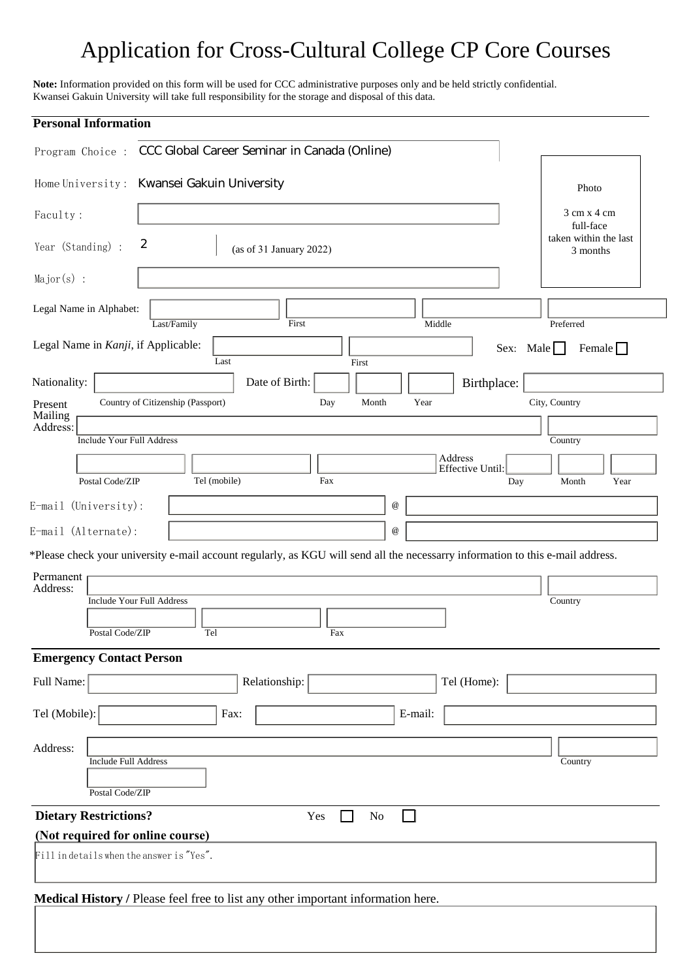## Application for Cross-Cultural College CP Core Courses

**Note:** Information provided on this form will be used for CCC administrative purposes only and be held strictly confidential. Kwansei Gakuin University will take full responsibility for the storage and disposal of this data.

| <b>Personal Information</b>                                                                                                     |                                                 |
|---------------------------------------------------------------------------------------------------------------------------------|-------------------------------------------------|
| CCC Global Career Seminar in Canada (Online)<br>Program Choice :                                                                |                                                 |
| Home University: Kwansei Gakuin University                                                                                      | Photo                                           |
| Faculty:                                                                                                                        | $3 \text{ cm} \times 4 \text{ cm}$<br>full-face |
| 2<br>Year (Standing) :<br>(as of 31 January 2022)                                                                               | taken within the last<br>3 months               |
| $Major(s)$ :                                                                                                                    |                                                 |
| Legal Name in Alphabet:<br>Last/Family<br>First<br>Middle                                                                       | Preferred                                       |
| Legal Name in Kanji, if Applicable:<br>Sex: Male<br>Last<br>First                                                               | Female                                          |
| Nationality:<br>Date of Birth:<br>Birthplace:                                                                                   |                                                 |
| Country of Citizenship (Passport)<br>Year<br>Day<br>Month<br>Present<br>Mailing<br>Address:                                     | City, Country                                   |
| <b>Include Your Full Address</b>                                                                                                | Country                                         |
| Address<br>Effective Until:<br>Tel (mobile)<br>Postal Code/ZIP<br>Fax<br>Day                                                    | Month<br>Year                                   |
| $^\text{\textregistered}$                                                                                                       |                                                 |
| E-mail (University):                                                                                                            |                                                 |
| E-mail (Alternate):<br>$^\text{\textregistered}$                                                                                |                                                 |
| *Please check your university e-mail account regularly, as KGU will send all the necessarry information to this e-mail address. |                                                 |
| Permanent<br>Address:                                                                                                           |                                                 |
| <b>Include Your Full Address</b>                                                                                                | Country                                         |
| Postal Code/ZIP<br>Tel<br>Fax                                                                                                   |                                                 |
| <b>Emergency Contact Person</b>                                                                                                 |                                                 |
| Full Name:<br>Relationship:<br>Tel (Home):                                                                                      |                                                 |
| Tel (Mobile):<br>Fax:<br>E-mail:                                                                                                |                                                 |
| Address:                                                                                                                        |                                                 |
| <b>Include Full Address</b><br>Postal Code/ZIP                                                                                  | Country                                         |
| <b>Dietary Restrictions?</b><br>$\rm No$<br>Yes                                                                                 |                                                 |
| (Not required for online course)                                                                                                |                                                 |
| Fill in details when the answer is "Yes".                                                                                       |                                                 |
| Medical History / Please feel free to list any other important information here.                                                |                                                 |